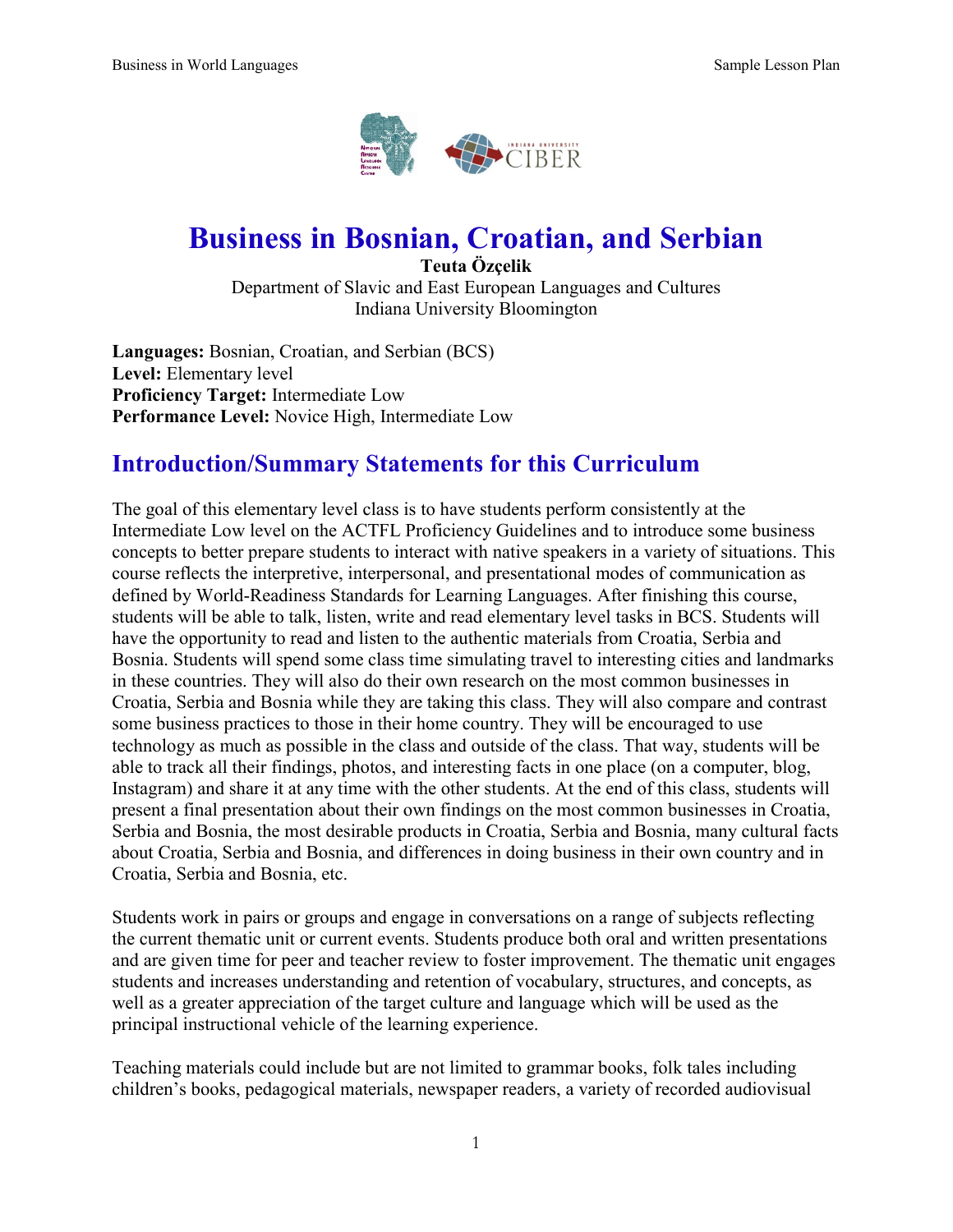

# **Business in Bosnian, Croatian, and Serbian**

**Teuta Özçelik** Department of Slavic and East European Languages and Cultures Indiana University Bloomington

**Languages:** Bosnian, Croatian, and Serbian (BCS) **Level:** Elementary level **Proficiency Target:** Intermediate Low **Performance Level:** Novice High, Intermediate Low

# **Introduction/Summary Statements for this Curriculum**

The goal of this elementary level class is to have students perform consistently at the Intermediate Low level on the ACTFL Proficiency Guidelines and to introduce some business concepts to better prepare students to interact with native speakers in a variety of situations. This course reflects the interpretive, interpersonal, and presentational modes of communication as defined by World-Readiness Standards for Learning Languages. After finishing this course, students will be able to talk, listen, write and read elementary level tasks in BCS. Students will have the opportunity to read and listen to the authentic materials from Croatia, Serbia and Bosnia. Students will spend some class time simulating travel to interesting cities and landmarks in these countries. They will also do their own research on the most common businesses in Croatia, Serbia and Bosnia while they are taking this class. They will also compare and contrast some business practices to those in their home country. They will be encouraged to use technology as much as possible in the class and outside of the class. That way, students will be able to track all their findings, photos, and interesting facts in one place (on a computer, blog, Instagram) and share it at any time with the other students. At the end of this class, students will present a final presentation about their own findings on the most common businesses in Croatia, Serbia and Bosnia, the most desirable products in Croatia, Serbia and Bosnia, many cultural facts about Croatia, Serbia and Bosnia, and differences in doing business in their own country and in Croatia, Serbia and Bosnia, etc.

Students work in pairs or groups and engage in conversations on a range of subjects reflecting the current thematic unit or current events. Students produce both oral and written presentations and are given time for peer and teacher review to foster improvement. The thematic unit engages students and increases understanding and retention of vocabulary, structures, and concepts, as well as a greater appreciation of the target culture and language which will be used as the principal instructional vehicle of the learning experience.

Teaching materials could include but are not limited to grammar books, folk tales including children's books, pedagogical materials, newspaper readers, a variety of recorded audiovisual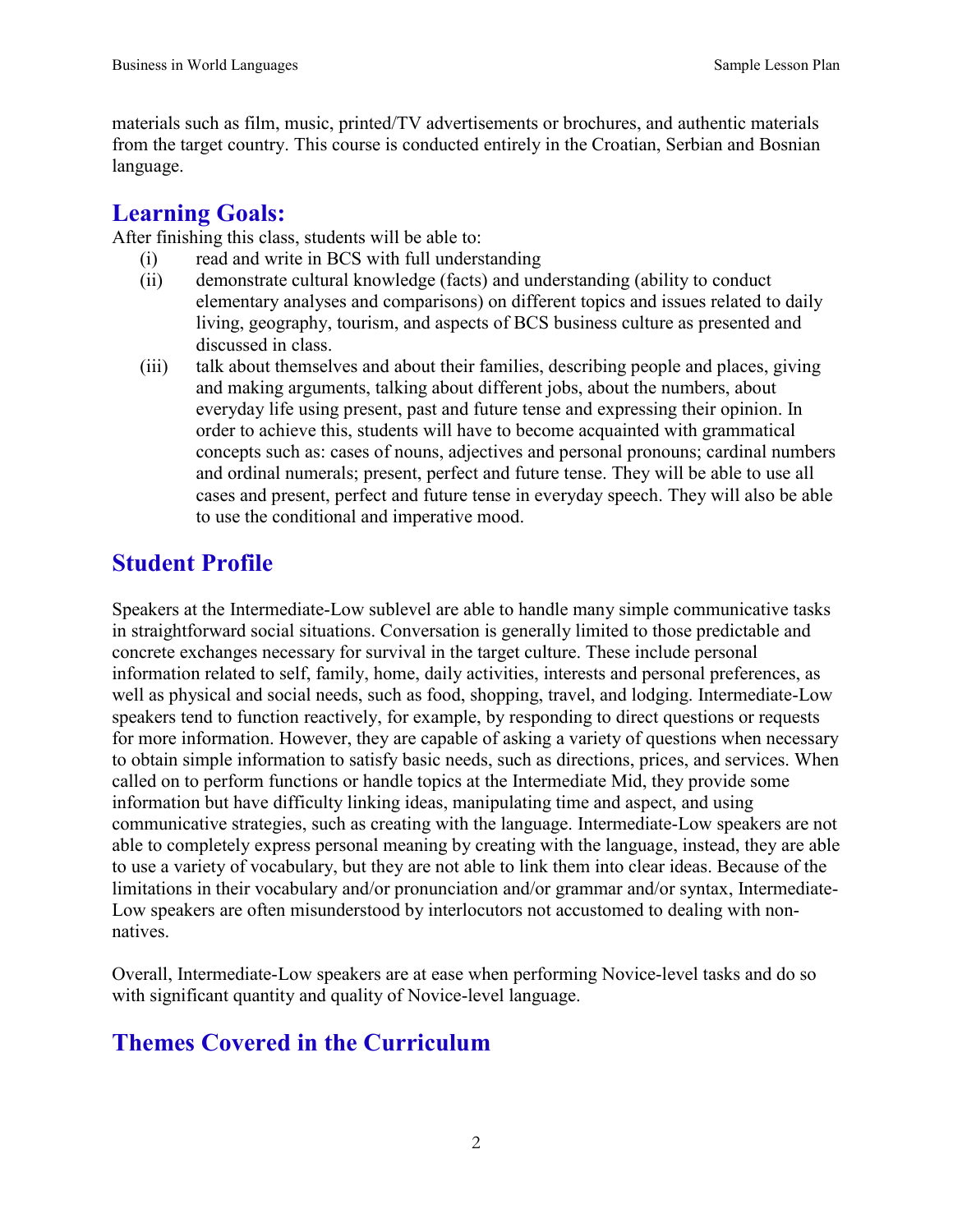materials such as film, music, printed/TV advertisements or brochures, and authentic materials from the target country. This course is conducted entirely in the Croatian, Serbian and Bosnian language.

# **Learning Goals:**

After finishing this class, students will be able to:

- (i) read and write in BCS with full understanding
- (ii) demonstrate cultural knowledge (facts) and understanding (ability to conduct elementary analyses and comparisons) on different topics and issues related to daily living, geography, tourism, and aspects of BCS business culture as presented and discussed in class.
- (iii) talk about themselves and about their families, describing people and places, giving and making arguments, talking about different jobs, about the numbers, about everyday life using present, past and future tense and expressing their opinion. In order to achieve this, students will have to become acquainted with grammatical concepts such as: cases of nouns, adjectives and personal pronouns; cardinal numbers and ordinal numerals; present, perfect and future tense. They will be able to use all cases and present, perfect and future tense in everyday speech. They will also be able to use the conditional and imperative mood.

# **Student Profile**

Speakers at the Intermediate-Low sublevel are able to handle many simple communicative tasks in straightforward social situations. Conversation is generally limited to those predictable and concrete exchanges necessary for survival in the target culture. These include personal information related to self, family, home, daily activities, interests and personal preferences, as well as physical and social needs, such as food, shopping, travel, and lodging. Intermediate-Low speakers tend to function reactively, for example, by responding to direct questions or requests for more information. However, they are capable of asking a variety of questions when necessary to obtain simple information to satisfy basic needs, such as directions, prices, and services. When called on to perform functions or handle topics at the Intermediate Mid, they provide some information but have difficulty linking ideas, manipulating time and aspect, and using communicative strategies, such as creating with the language. Intermediate-Low speakers are not able to completely express personal meaning by creating with the language, instead, they are able to use a variety of vocabulary, but they are not able to link them into clear ideas. Because of the limitations in their vocabulary and/or pronunciation and/or grammar and/or syntax, Intermediate-Low speakers are often misunderstood by interlocutors not accustomed to dealing with nonnatives.

Overall, Intermediate-Low speakers are at ease when performing Novice-level tasks and do so with significant quantity and quality of Novice-level language.

# **Themes Covered in the Curriculum**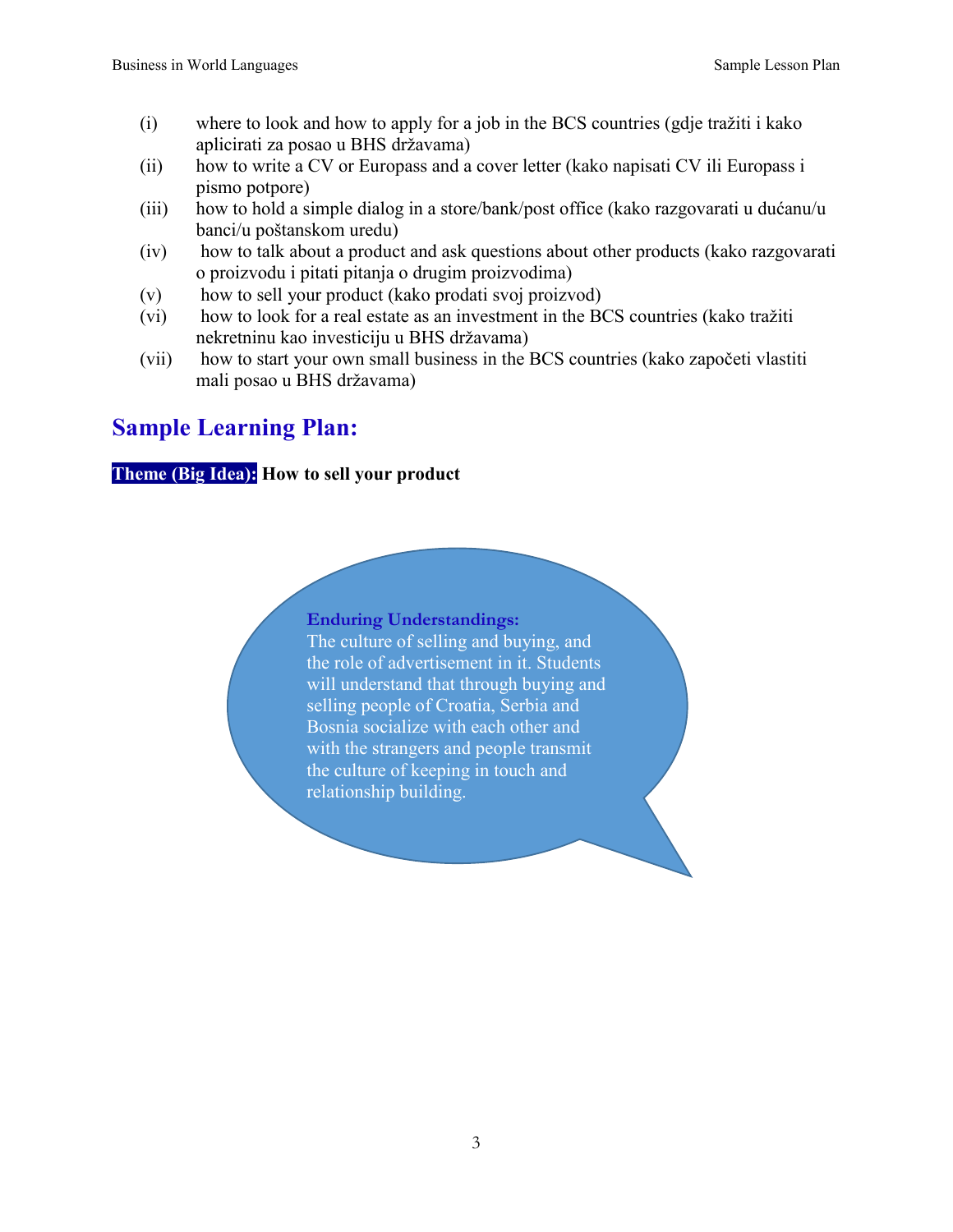- (i) where to look and how to apply for a job in the BCS countries (gdje tražiti i kako aplicirati za posao u BHS državama)
- (ii) how to write a CV or Europass and a cover letter (kako napisati CV ili Europass i pismo potpore)
- (iii) how to hold a simple dialog in a store/bank/post office (kako razgovarati u dućanu/u banci/u poštanskom uredu)
- (iv) how to talk about a product and ask questions about other products (kako razgovarati o proizvodu i pitati pitanja o drugim proizvodima)
- (v) how to sell your product (kako prodati svoj proizvod)
- (vi) how to look for a real estate as an investment in the BCS countries (kako tražiti nekretninu kao investiciju u BHS državama)
- (vii) how to start your own small business in the BCS countries (kako započeti vlastiti mali posao u BHS državama)

# **Sample Learning Plan:**

## **Theme (Big Idea): How to sell your product**

#### **Enduring Understandings:**

The culture of selling and buying, and the role of advertisement in it. Students will understand that through buying and selling people of Croatia, Serbia and Bosnia socialize with each other and with the strangers and people transmit the culture of keeping in touch and relationship building.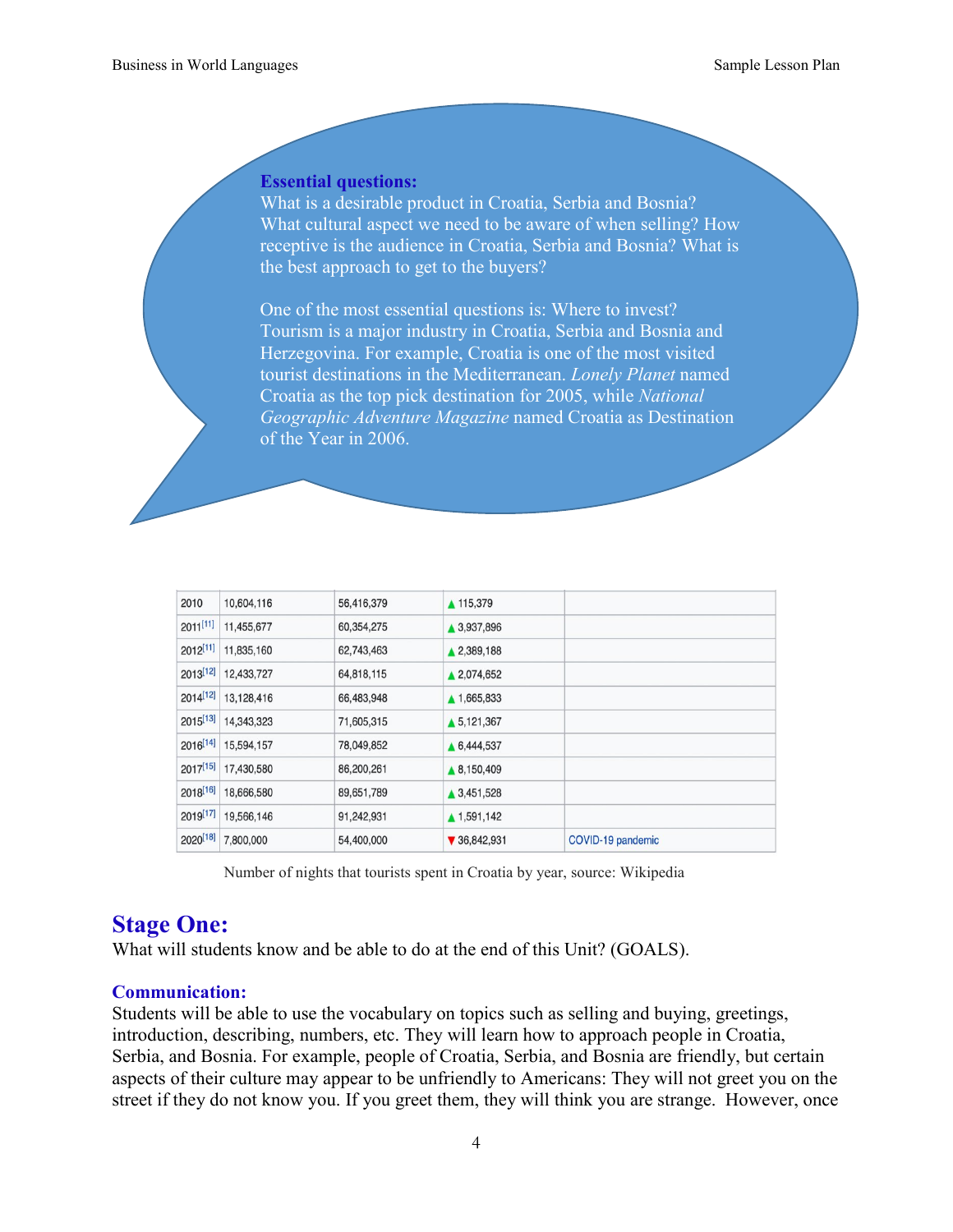#### **Essential questions:**

What is a desirable product in Croatia, Serbia and Bosnia? What cultural aspect we need to be aware of when selling? How receptive is the audience in Croatia, Serbia and Bosnia? What is the best approach to get to the buyers?

One of the most essential questions is: Where to invest? Tourism is a major industry in Croatia, Serbia and Bosnia and Herzegovina. For example, Croatia is one of the most visited tourist destinations in the Mediterranean. *Lonely Planet* named Croatia as the top pick destination for 2005, while *National Geographic Adventure Magazine* named Croatia as Destination of the Year in 2006.

| 2010          | 10,604,116 | 56,416,379 | ▲ 115,379                       |                   |
|---------------|------------|------------|---------------------------------|-------------------|
| $2011^{[11]}$ | 11,455,677 | 60,354,275 | ▲ 3,937,896                     |                   |
| 2012[11]      | 11,835,160 | 62,743,463 | ▲ 2,389,188                     |                   |
| 2013[12]      | 12,433,727 | 64,818,115 | ▲ 2,074,652                     |                   |
| $2014^{[12]}$ | 13,128,416 | 66,483,948 | ▲ 1,665,833                     |                   |
| $2015^{[13]}$ | 14,343,323 | 71,605,315 | ▲ 5,121,367                     |                   |
| $2016^{[14]}$ | 15,594,157 | 78,049,852 | ▲ 6,444,537                     |                   |
| $2017^{[15]}$ | 17,430,580 | 86,200,261 | ▲ 8,150,409                     |                   |
| $2018^{[16]}$ | 18,666,580 | 89,651,789 | ▲ 3,451,528                     |                   |
| 2019[17]      | 19,566,146 | 91,242,931 | ▲ 1,591,142                     |                   |
| 2020[18]      | 7,800,000  | 54,400,000 | $\blacktriangledown$ 36,842,931 | COVID-19 pandemic |
|               |            |            |                                 |                   |

Number of nights that tourists spent in Croatia by year, source: Wikipedia

# **Stage One:**

What will students know and be able to do at the end of this Unit? (GOALS).

#### **Communication:**

Students will be able to use the vocabulary on topics such as selling and buying, greetings, introduction, describing, numbers, etc. They will learn how to approach people in Croatia, Serbia, and Bosnia. For example, people of Croatia, Serbia, and Bosnia are friendly, but certain aspects of their culture may appear to be unfriendly to Americans: They will not greet you on the street if they do not know you. If you greet them, they will think you are strange. However, once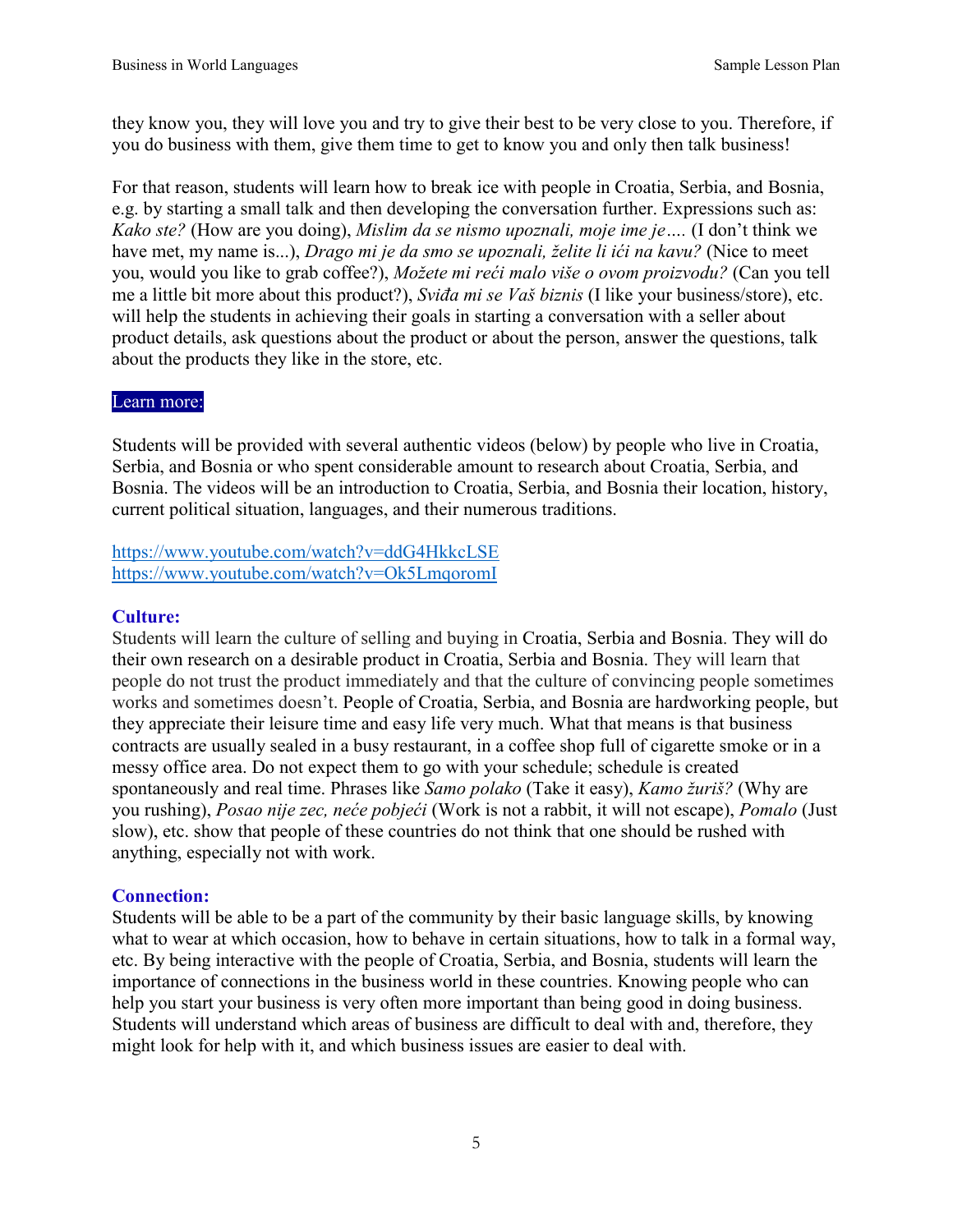they know you, they will love you and try to give their best to be very close to you. Therefore, if you do business with them, give them time to get to know you and only then talk business!

For that reason, students will learn how to break ice with people in Croatia, Serbia, and Bosnia, e.g. by starting a small talk and then developing the conversation further. Expressions such as: *Kako ste?* (How are you doing), *Mislim da se nismo upoznali, moje ime je….* (I don't think we have met, my name is...), *Drago mi je da smo se upoznali, želite li ići na kavu?* (Nice to meet you, would you like to grab coffee?), *Možete mi reći malo više o ovom proizvodu?* (Can you tell me a little bit more about this product?), *Sviđa mi se Vaš biznis* (I like your business/store), etc. will help the students in achieving their goals in starting a conversation with a seller about product details, ask questions about the product or about the person, answer the questions, talk about the products they like in the store, etc.

#### Learn more:

Students will be provided with several authentic videos (below) by people who live in Croatia, Serbia, and Bosnia or who spent considerable amount to research about Croatia, Serbia, and Bosnia. The videos will be an introduction to Croatia, Serbia, and Bosnia their location, history, current political situation, languages, and their numerous traditions.

### <https://www.youtube.com/watch?v=ddG4HkkcLSE> <https://www.youtube.com/watch?v=Ok5LmqoromI>

#### **Culture:**

Students will learn the culture of selling and buying in Croatia, Serbia and Bosnia. They will do their own research on a desirable product in Croatia, Serbia and Bosnia. They will learn that people do not trust the product immediately and that the culture of convincing people sometimes works and sometimes doesn't. People of Croatia, Serbia, and Bosnia are hardworking people, but they appreciate their leisure time and easy life very much. What that means is that business contracts are usually sealed in a busy restaurant, in a coffee shop full of cigarette smoke or in a messy office area. Do not expect them to go with your schedule; schedule is created spontaneously and real time. Phrases like *Samo polako* (Take it easy), *Kamo žuriš?* (Why are you rushing), *Posao nije zec, neće pobjeći* (Work is not a rabbit, it will not escape), *Pomalo* (Just slow), etc. show that people of these countries do not think that one should be rushed with anything, especially not with work.

### **Connection:**

Students will be able to be a part of the community by their basic language skills, by knowing what to wear at which occasion, how to behave in certain situations, how to talk in a formal way, etc. By being interactive with the people of Croatia, Serbia, and Bosnia, students will learn the importance of connections in the business world in these countries. Knowing people who can help you start your business is very often more important than being good in doing business. Students will understand which areas of business are difficult to deal with and, therefore, they might look for help with it, and which business issues are easier to deal with.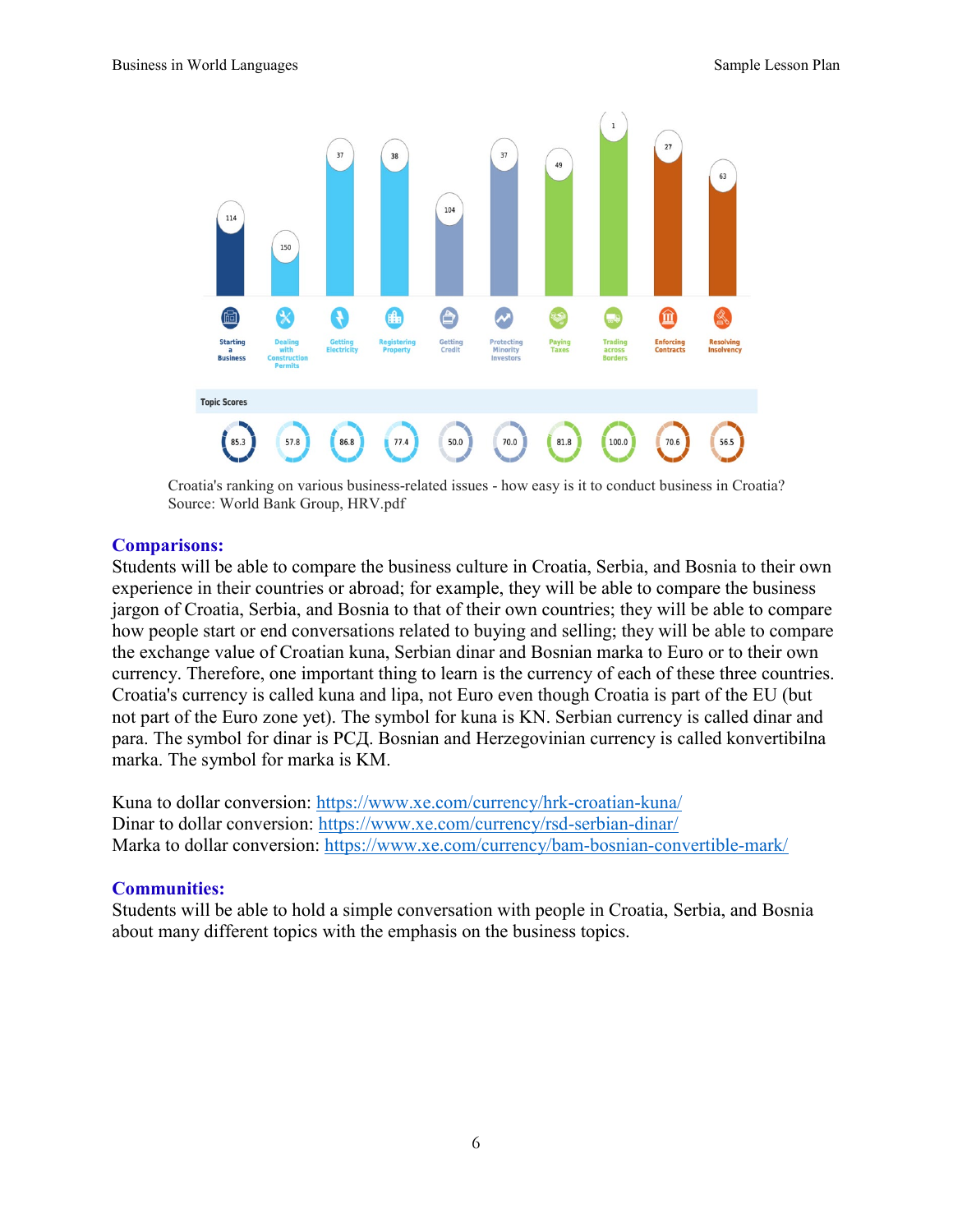

Croatia's ranking on various business-related issues - how easy is it to conduct business in Croatia? Source: World Bank Group, HRV.pdf

#### **Comparisons:**

Students will be able to compare the business culture in Croatia, Serbia, and Bosnia to their own experience in their countries or abroad; for example, they will be able to compare the business jargon of Croatia, Serbia, and Bosnia to that of their own countries; they will be able to compare how people start or end conversations related to buying and selling; they will be able to compare the exchange value of Croatian kuna, Serbian dinar and Bosnian marka to Euro or to their own currency. Therefore, one important thing to learn is the currency of each of these three countries. Croatia's currency is called kuna and lipa, not Euro even though Croatia is part of the EU (but not part of the Euro zone yet). The symbol for kuna is KN. Serbian currency is called dinar and para. The symbol for dinar is РСД. Bosnian and Herzegovinian currency is called konvertibilna marka. The symbol for marka is KM.

Kuna to dollar conversion:<https://www.xe.com/currency/hrk-croatian-kuna/> Dinar to dollar conversion: https://www.xe.com/currency/rsd-serbian-dinar/ Marka to dollar conversion:<https://www.xe.com/currency/bam-bosnian-convertible-mark/>

#### **Communities:**

Students will be able to hold a simple conversation with people in Croatia, Serbia, and Bosnia about many different topics with the emphasis on the business topics.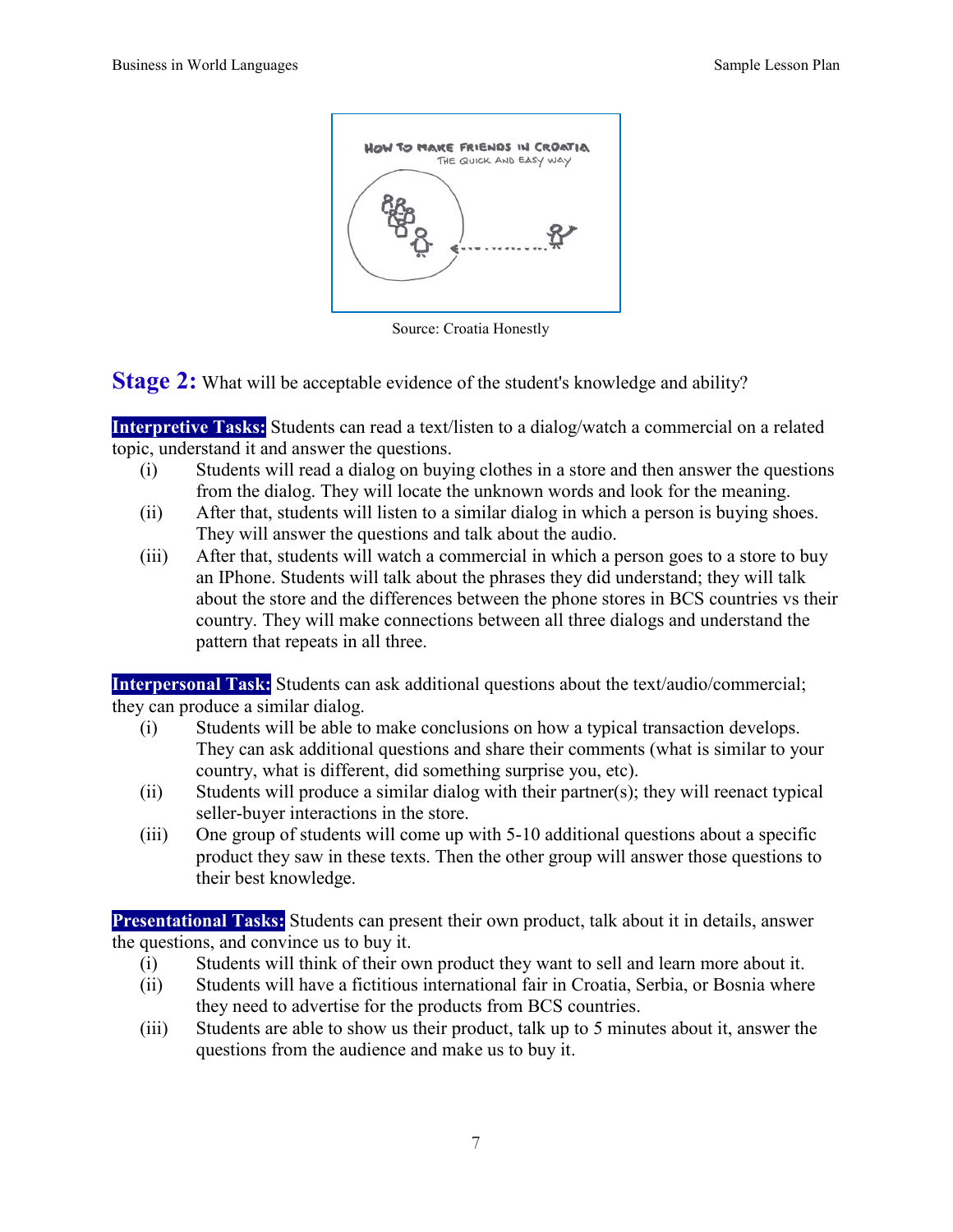

Source: Croatia Honestly

**Stage 2:** What will be acceptable evidence of the student's knowledge and ability?

**Interpretive Tasks:** Students can read a text/listen to a dialog/watch a commercial on a related topic, understand it and answer the questions.

- (i) Students will read a dialog on buying clothes in a store and then answer the questions from the dialog. They will locate the unknown words and look for the meaning.
- (ii) After that, students will listen to a similar dialog in which a person is buying shoes. They will answer the questions and talk about the audio.
- (iii) After that, students will watch a commercial in which a person goes to a store to buy an IPhone. Students will talk about the phrases they did understand; they will talk about the store and the differences between the phone stores in BCS countries vs their country. They will make connections between all three dialogs and understand the pattern that repeats in all three.

**Interpersonal Task:** Students can ask additional questions about the text/audio/commercial; they can produce a similar dialog.

- (i) Students will be able to make conclusions on how a typical transaction develops. They can ask additional questions and share their comments (what is similar to your country, what is different, did something surprise you, etc).
- (ii) Students will produce a similar dialog with their partner(s); they will reenact typical seller-buyer interactions in the store.
- (iii) One group of students will come up with 5-10 additional questions about a specific product they saw in these texts. Then the other group will answer those questions to their best knowledge.

**Presentational Tasks:** Students can present their own product, talk about it in details, answer the questions, and convince us to buy it.

- (i) Students will think of their own product they want to sell and learn more about it.
- (ii) Students will have a fictitious international fair in Croatia, Serbia, or Bosnia where they need to advertise for the products from BCS countries.
- (iii) Students are able to show us their product, talk up to 5 minutes about it, answer the questions from the audience and make us to buy it.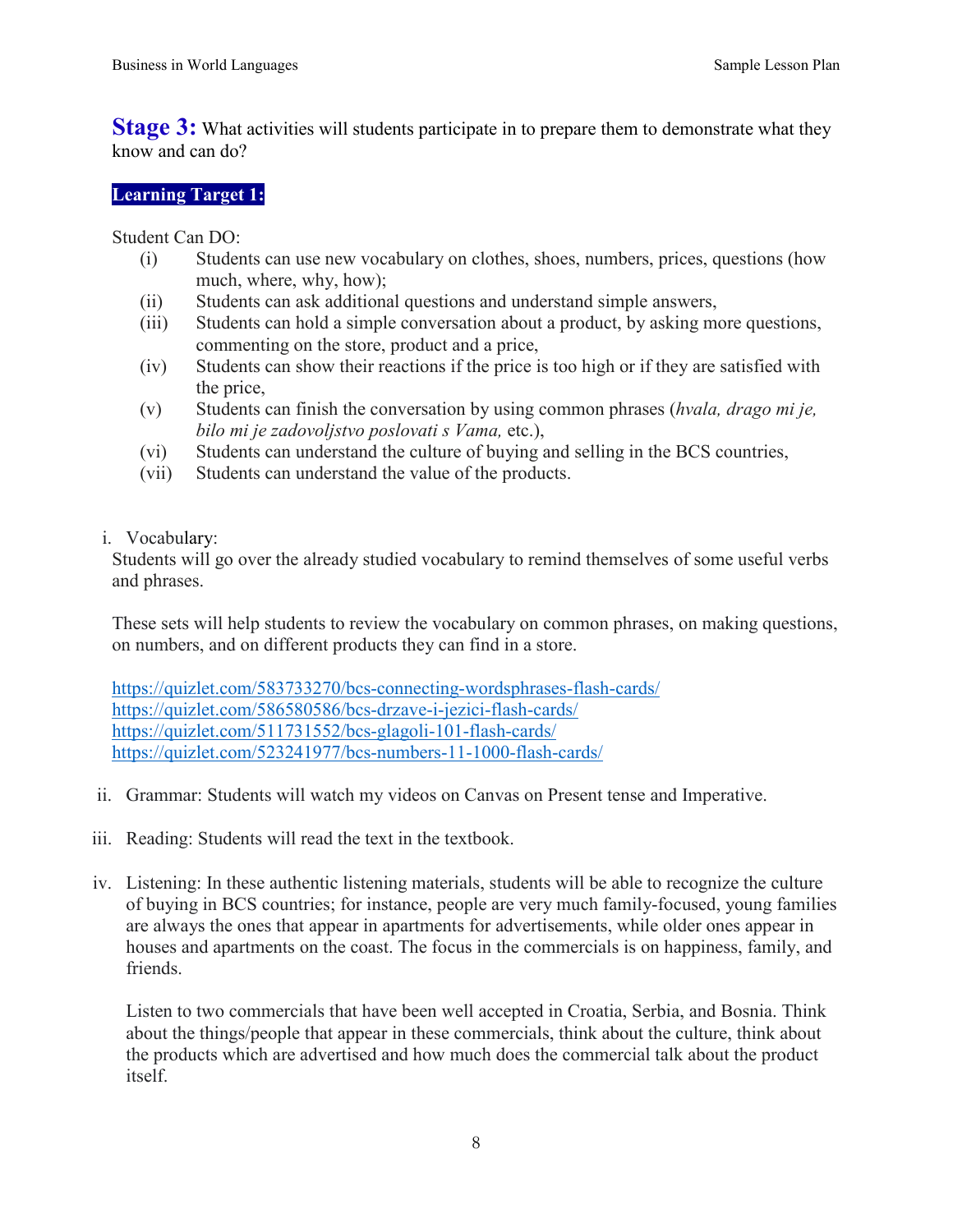**Stage 3:** What activities will students participate in to prepare them to demonstrate what they know and can do?

#### **Learning Target 1:**

Student Can DO:

- (i) Students can use new vocabulary on clothes, shoes, numbers, prices, questions (how much, where, why, how);
- (ii) Students can ask additional questions and understand simple answers,
- (iii) Students can hold a simple conversation about a product, by asking more questions, commenting on the store, product and a price,
- (iv) Students can show their reactions if the price is too high or if they are satisfied with the price,
- (v) Students can finish the conversation by using common phrases (*hvala, drago mi je, bilo mi je zadovoljstvo poslovati s Vama,* etc.),
- (vi) Students can understand the culture of buying and selling in the BCS countries,
- (vii) Students can understand the value of the products.
- i. Vocabulary:

Students will go over the already studied vocabulary to remind themselves of some useful verbs and phrases.

These sets will help students to review the vocabulary on common phrases, on making questions, on numbers, and on different products they can find in a store.

<https://quizlet.com/583733270/bcs-connecting-wordsphrases-flash-cards/> <https://quizlet.com/586580586/bcs-drzave-i-jezici-flash-cards/> <https://quizlet.com/511731552/bcs-glagoli-101-flash-cards/> <https://quizlet.com/523241977/bcs-numbers-11-1000-flash-cards/>

- ii. Grammar: Students will watch my videos on Canvas on Present tense and Imperative.
- iii. Reading: Students will read the text in the textbook.
- iv. Listening: In these authentic listening materials, students will be able to recognize the culture of buying in BCS countries; for instance, people are very much family-focused, young families are always the ones that appear in apartments for advertisements, while older ones appear in houses and apartments on the coast. The focus in the commercials is on happiness, family, and friends.

Listen to two commercials that have been well accepted in Croatia, Serbia, and Bosnia. Think about the things/people that appear in these commercials, think about the culture, think about the products which are advertised and how much does the commercial talk about the product itself.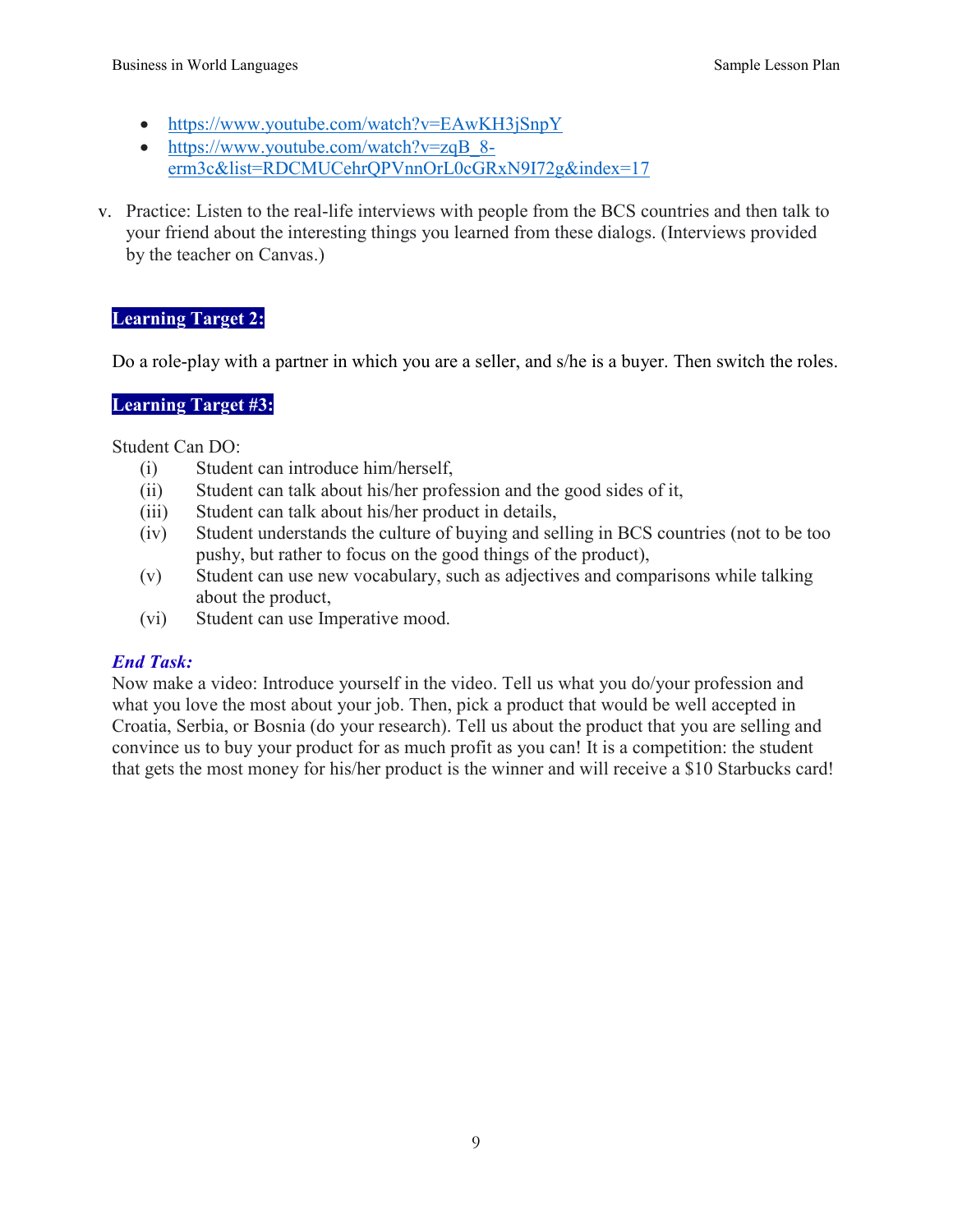- https://www.youtube.com/watch?v=EAwKH3jSnpY
- https://www.youtube.com/watch?v=zqB 8[erm3c&list=RDCMUCehrQPVnnOrL0cGRxN9I72g&index=17](https://www.youtube.com/watch?v=zqB_8-erm3c&list=RDCMUCehrQPVnnOrL0cGRxN9I72g&index=17)
- v. Practice: Listen to the real-life interviews with people from the BCS countries and then talk to your friend about the interesting things you learned from these dialogs. (Interviews provided by the teacher on Canvas.)

## **Learning Target 2:**

Do a role-play with a partner in which you are a seller, and s/he is a buyer. Then switch the roles.

## **Learning Target #3:**

Student Can DO:

- (i) Student can introduce him/herself,
- (ii) Student can talk about his/her profession and the good sides of it,
- (iii) Student can talk about his/her product in details,
- (iv) Student understands the culture of buying and selling in BCS countries (not to be too pushy, but rather to focus on the good things of the product),
- (v) Student can use new vocabulary, such as adjectives and comparisons while talking about the product,
- (vi) Student can use Imperative mood.

## *End Task:*

Now make a video: Introduce yourself in the video. Tell us what you do/your profession and what you love the most about your job. Then, pick a product that would be well accepted in Croatia, Serbia, or Bosnia (do your research). Tell us about the product that you are selling and convince us to buy your product for as much profit as you can! It is a competition: the student that gets the most money for his/her product is the winner and will receive a \$10 Starbucks card!